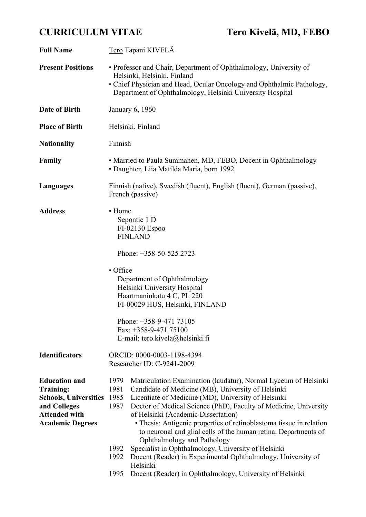# **CURRICULUM VITAE Tero Kivelä, MD, FEBO**

| Tero Tapani KIVELÄ                                                                                                                                                                                                                                                                                                                                                                                                                                                                                                                                                                                                                                                                                                      |  |  |
|-------------------------------------------------------------------------------------------------------------------------------------------------------------------------------------------------------------------------------------------------------------------------------------------------------------------------------------------------------------------------------------------------------------------------------------------------------------------------------------------------------------------------------------------------------------------------------------------------------------------------------------------------------------------------------------------------------------------------|--|--|
| • Professor and Chair, Department of Ophthalmology, University of<br>Helsinki, Helsinki, Finland<br>• Chief Physician and Head, Ocular Oncology and Ophthalmic Pathology,<br>Department of Ophthalmology, Helsinki University Hospital                                                                                                                                                                                                                                                                                                                                                                                                                                                                                  |  |  |
| January 6, 1960                                                                                                                                                                                                                                                                                                                                                                                                                                                                                                                                                                                                                                                                                                         |  |  |
| Helsinki, Finland                                                                                                                                                                                                                                                                                                                                                                                                                                                                                                                                                                                                                                                                                                       |  |  |
| Finnish                                                                                                                                                                                                                                                                                                                                                                                                                                                                                                                                                                                                                                                                                                                 |  |  |
| • Married to Paula Summanen, MD, FEBO, Docent in Ophthalmology<br>• Daughter, Liia Matilda Maria, born 1992                                                                                                                                                                                                                                                                                                                                                                                                                                                                                                                                                                                                             |  |  |
| Finnish (native), Swedish (fluent), English (fluent), German (passive),<br>French (passive)                                                                                                                                                                                                                                                                                                                                                                                                                                                                                                                                                                                                                             |  |  |
| • Home<br>Sepontie 1 D<br>FI-02130 Espoo<br><b>FINLAND</b><br>Phone: +358-50-525 2723                                                                                                                                                                                                                                                                                                                                                                                                                                                                                                                                                                                                                                   |  |  |
|                                                                                                                                                                                                                                                                                                                                                                                                                                                                                                                                                                                                                                                                                                                         |  |  |
| • Office<br>Department of Ophthalmology<br>Helsinki University Hospital<br>Haartmaninkatu 4 C, PL 220<br>FI-00029 HUS, Helsinki, FINLAND                                                                                                                                                                                                                                                                                                                                                                                                                                                                                                                                                                                |  |  |
| Phone: +358-9-471 73105<br>Fax: $+358-9-47175100$<br>E-mail: tero.kivela@helsinki.fi                                                                                                                                                                                                                                                                                                                                                                                                                                                                                                                                                                                                                                    |  |  |
| ORCID: 0000-0003-1198-4394<br>Researcher ID: C-9241-2009                                                                                                                                                                                                                                                                                                                                                                                                                                                                                                                                                                                                                                                                |  |  |
| Matriculation Examination (laudatur), Normal Lyceum of Helsinki<br>1979<br>1981<br>Candidate of Medicine (MB), University of Helsinki<br>1985<br>Licentiate of Medicine (MD), University of Helsinki<br>Doctor of Medical Science (PhD), Faculty of Medicine, University<br>1987<br>of Helsinki (Academic Dissertation)<br>• Thesis: Antigenic properties of retinoblastoma tissue in relation<br>to neuronal and glial cells of the human retina. Departments of<br>Ophthalmology and Pathology<br>Specialist in Ophthalmology, University of Helsinki<br>1992<br>Docent (Reader) in Experimental Ophthalmology, University of<br>1992<br>Helsinki<br>1995<br>Docent (Reader) in Ophthalmology, University of Helsinki |  |  |
|                                                                                                                                                                                                                                                                                                                                                                                                                                                                                                                                                                                                                                                                                                                         |  |  |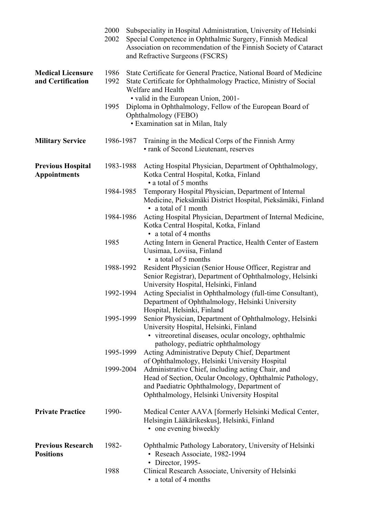|                                                 | 2000<br>2002 | Subspeciality in Hospital Administration, University of Helsinki<br>Special Competence in Ophthalmic Surgery, Finnish Medical<br>Association on recommendation of the Finnish Society of Cataract<br>and Refractive Surgeons (FSCRS) |  |  |
|-------------------------------------------------|--------------|--------------------------------------------------------------------------------------------------------------------------------------------------------------------------------------------------------------------------------------|--|--|
| <b>Medical Licensure</b><br>and Certification   | 1986<br>1992 | State Certificate for General Practice, National Board of Medicine<br>State Certificate for Ophthalmology Practice, Ministry of Social<br>Welfare and Health<br>• valid in the European Union, 2001-                                 |  |  |
|                                                 | 1995         | Diploma in Ophthalmology, Fellow of the European Board of<br>Ophthalmology (FEBO)<br>• Examination sat in Milan, Italy                                                                                                               |  |  |
| <b>Military Service</b>                         | 1986-1987    | Training in the Medical Corps of the Finnish Army<br>• rank of Second Lieutenant, reserves                                                                                                                                           |  |  |
| <b>Previous Hospital</b><br><b>Appointments</b> | 1983-1988    | Acting Hospital Physician, Department of Ophthalmology,<br>Kotka Central Hospital, Kotka, Finland<br>• a total of 5 months                                                                                                           |  |  |
|                                                 | 1984-1985    | Temporary Hospital Physician, Department of Internal<br>Medicine, Pieksämäki District Hospital, Pieksämäki, Finland<br>• a total of 1 month                                                                                          |  |  |
|                                                 | 1984-1986    | Acting Hospital Physician, Department of Internal Medicine,<br>Kotka Central Hospital, Kotka, Finland<br>• a total of 4 months                                                                                                       |  |  |
|                                                 | 1985         | Acting Intern in General Practice, Health Center of Eastern<br>Uusimaa, Loviisa, Finland<br>• a total of 5 months                                                                                                                    |  |  |
|                                                 | 1988-1992    | Resident Physician (Senior House Officer, Registrar and<br>Senior Registrar), Department of Ophthalmology, Helsinki<br>University Hospital, Helsinki, Finland                                                                        |  |  |
|                                                 | 1992-1994    | Acting Specialist in Ophthalmology (full-time Consultant),<br>Department of Ophthalmology, Helsinki University<br>Hospital, Helsinki, Finland                                                                                        |  |  |
|                                                 | 1995-1999    | Senior Physician, Department of Ophthalmology, Helsinki<br>University Hospital, Helsinki, Finland<br>• vitreoretinal diseases, ocular oncology, ophthalmic                                                                           |  |  |
|                                                 | 1995-1999    | pathology, pediatric ophthalmology<br>Acting Administrative Deputy Chief, Department<br>of Ophthalmology, Helsinki University Hospital                                                                                               |  |  |
|                                                 | 1999-2004    | Administrative Chief, including acting Chair, and<br>Head of Section, Ocular Oncology, Ophthalmic Pathology,<br>and Paediatric Ophthalmology, Department of<br>Ophthalmology, Helsinki University Hospital                           |  |  |
| <b>Private Practice</b>                         | 1990-        | Medical Center AAVA [formerly Helsinki Medical Center,<br>Helsingin Lääkärikeskus], Helsinki, Finland<br>• one evening biweekly                                                                                                      |  |  |
| <b>Previous Research</b><br><b>Positions</b>    | 1982-        | Ophthalmic Pathology Laboratory, University of Helsinki<br>• Reseach Associate, 1982-1994<br>• Director, 1995-                                                                                                                       |  |  |
|                                                 | 1988         | Clinical Research Associate, University of Helsinki<br>a total of 4 months                                                                                                                                                           |  |  |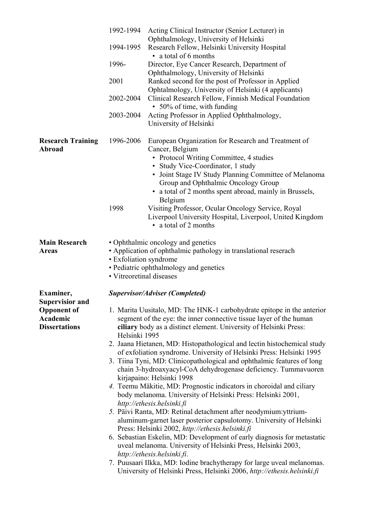|                                                                                               | 1992-1994<br>1994-1995<br>1996-<br>2001<br>2002-2004<br>2003-2004 | Acting Clinical Instructor (Senior Lecturer) in<br>Ophthalmology, University of Helsinki<br>Research Fellow, Helsinki University Hospital<br>• a total of 6 months<br>Director, Eye Cancer Research, Department of<br>Ophthalmology, University of Helsinki<br>Ranked second for the post of Professor in Applied<br>Ophtalmology, University of Helsinki (4 applicants)<br>Clinical Research Fellow, Finnish Medical Foundation<br>• 50% of time, with funding<br>Acting Professor in Applied Ophthalmology,<br>University of Helsinki                                                                                                                                                                                                                                                                                                                                                                                                                                                                                                                                                                                                                                                                                                                                                   |
|-----------------------------------------------------------------------------------------------|-------------------------------------------------------------------|-------------------------------------------------------------------------------------------------------------------------------------------------------------------------------------------------------------------------------------------------------------------------------------------------------------------------------------------------------------------------------------------------------------------------------------------------------------------------------------------------------------------------------------------------------------------------------------------------------------------------------------------------------------------------------------------------------------------------------------------------------------------------------------------------------------------------------------------------------------------------------------------------------------------------------------------------------------------------------------------------------------------------------------------------------------------------------------------------------------------------------------------------------------------------------------------------------------------------------------------------------------------------------------------|
| <b>Research Training</b><br>Abroad                                                            | 1996-2006<br>1998                                                 | European Organization for Research and Treatment of<br>Cancer, Belgium<br>• Protocol Writing Committee, 4 studies<br>• Study Vice-Coordinator, 1 study<br>• Joint Stage IV Study Planning Committee of Melanoma<br>Group and Ophthalmic Oncology Group<br>a total of 2 months spent abroad, mainly in Brussels,<br>$\bullet$<br>Belgium<br>Visiting Professor, Ocular Oncology Service, Royal<br>Liverpool University Hospital, Liverpool, United Kingdom<br>• a total of 2 months                                                                                                                                                                                                                                                                                                                                                                                                                                                                                                                                                                                                                                                                                                                                                                                                        |
| <b>Main Research</b><br><b>Areas</b>                                                          | • Exfoliation syndrome<br>• Vitreoretinal diseases                | • Ophthalmic oncology and genetics<br>• Application of ophthalmic pathology in translational reserach<br>• Pediatric ophthalmology and genetics                                                                                                                                                                                                                                                                                                                                                                                                                                                                                                                                                                                                                                                                                                                                                                                                                                                                                                                                                                                                                                                                                                                                           |
| Examiner,<br><b>Supervisior and</b><br><b>Opponent of</b><br>Academic<br><b>Dissertations</b> | Helsinki 1995                                                     | <b>Supervisor/Adviser (Completed)</b><br>1. Marita Uusitalo, MD: The HNK-1 carbohydrate epitope in the anterior<br>segment of the eye: the inner connective tissue layer of the human<br>ciliary body as a distinct element. University of Helsinki Press:<br>2. Jaana Hietanen, MD: Histopathological and lectin histochemical study<br>of exfoliation syndrome. University of Helsinki Press: Helsinki 1995<br>3. Tiina Tyni, MD: Clinicopathological and ophthalmic features of long<br>chain 3-hydroaxyacyl-CoA dehydrogenase deficiency. Tummavuoren<br>kirjapaino: Helsinki 1998<br>4. Teemu Mäkitie, MD: Prognostic indicators in choroidal and ciliary<br>body melanoma. University of Helsinki Press: Helsinki 2001,<br>http://ethesis.helsinki.fi<br>5. Päivi Ranta, MD: Retinal detachment after neodymium: yttrium-<br>aluminum-garnet laser posterior capsulotomy. University of Helsinki<br>Press: Helsinki 2002, http://ethesis.helsinki.fi<br>6. Sebastian Eskelin, MD: Development of early diagnosis for metastatic<br>uveal melanoma. University of Helsinki Press, Helsinki 2003,<br>http://ethesis.helsinki.fi.<br>7. Puusaari Ilkka, MD: Iodine brachytherapy for large uveal melanomas.<br>University of Helsinki Press, Helsinki 2006, http://ethesis.helsinki.fi |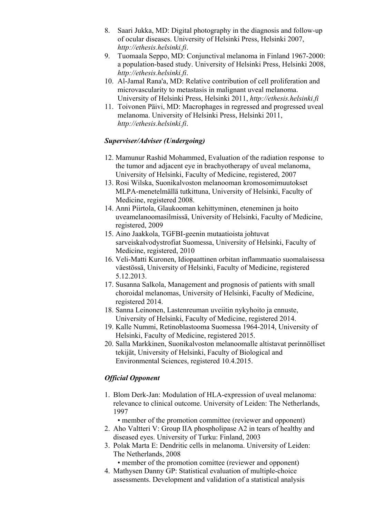- 8. Saari Jukka, MD: Digital photography in the diagnosis and follow-up of ocular diseases. University of Helsinki Press, Helsinki 2007, *http://ethesis.helsinki.fi*.
- 9. Tuomaala Seppo, MD: Conjunctival melanoma in Finland 1967-2000: a population-based study. University of Helsinki Press, Helsinki 2008, *http://ethesis.helsinki.fi*.
- 10. Al-Jamal Rana'a, MD: Relative contribution of cell proliferation and microvascularity to metastasis in malignant uveal melanoma. University of Helsinki Press, Helsinki 2011, *http://ethesis.helsinki.fi*
- 11. Toivonen Päivi, MD: Macrophages in regressed and progressed uveal melanoma. University of Helsinki Press, Helsinki 2011, *http://ethesis.helsinki.fi*.

## *Superviser/Adviser (Undergoing)*

- 12. Mamunur Rashid Mohammed, Evaluation of the radiation response to the tumor and adjacent eye in brachyotherapy of uveal melanoma, University of Helsinki, Faculty of Medicine, registered, 2007
- 13. Rosi Wilska, Suonikalvoston melanooman kromosomimuutokset MLPA-menetelmällä tutkittuna, University of Helsinki, Faculty of Medicine, registered 2008.
- 14. Anni Piirtola, Glaukooman kehittyminen, eteneminen ja hoito uveamelanoomasilmissä, University of Helsinki, Faculty of Medicine, registered, 2009
- 15. Aino Jaakkola, TGFBI-geenin mutaatioista johtuvat sarveiskalvodystrofiat Suomessa, University of Helsinki, Faculty of Medicine, registered, 2010
- 16. Veli-Matti Kuronen, Idiopaattinen orbitan inflammaatio suomalaisessa väestössä, University of Helsinki, Faculty of Medicine, registered 5.12.2013.
- 17. Susanna Salkola, Management and prognosis of patients with small choroidal melanomas, University of Helsinki, Faculty of Medicine, registered 2014.
- 18. Sanna Leinonen, Lastenreuman uveiitin nykyhoito ja ennuste, University of Helsinki, Faculty of Medicine, registered 2014.
- 19. Kalle Nummi, Retinoblastooma Suomessa 1964-2014, University of Helsinki, Faculty of Medicine, registered 2015.
- 20. Salla Markkinen, Suonikalvoston melanoomalle altistavat perinnölliset tekijät, University of Helsinki, Faculty of Biological and Environmental Sciences, registered 10.4.2015.

## *Official Opponent*

- 1. Blom Derk-Jan: Modulation of HLA-expression of uveal melanoma: relevance to clinical outcome. University of Leiden: The Netherlands, 1997
	- member of the promotion committee (reviewer and opponent)
- 2. Aho Valtteri V: Group IIA phospholipase A2 in tears of healthy and diseased eyes. University of Turku: Finland, 2003
- 3. Polak Marta E: Dendritic cells in melanoma. University of Leiden: The Netherlands, 2008
	- member of the promotion comittee (reviewer and opponent)
- 4. Mathysen Danny GP: Statistical evaluation of multiple-choice assessments. Development and validation of a statistical analysis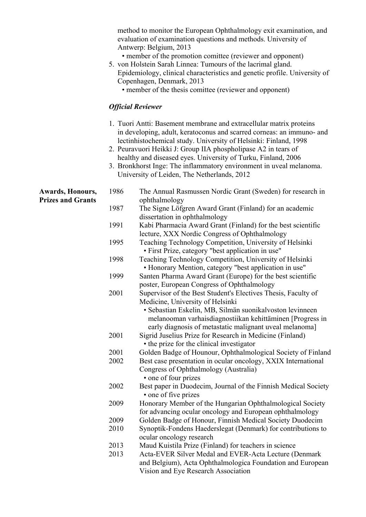|                          |      | method to monitor the European Ophthalmology exit examination, and<br>evaluation of examination questions and methods. University of<br>Antwerp: Belgium, 2013<br>• member of the promotion comittee (reviewer and opponent)<br>5. von Holstein Sarah Linnea: Tumours of the lacrimal gland.<br>Epidemiology, clinical characteristics and genetic profile. University of<br>Copenhagen, Denmark, 2013<br>• member of the thesis comittee (reviewer and opponent)<br><b>Official Reviewer</b> |
|--------------------------|------|-----------------------------------------------------------------------------------------------------------------------------------------------------------------------------------------------------------------------------------------------------------------------------------------------------------------------------------------------------------------------------------------------------------------------------------------------------------------------------------------------|
|                          |      | 1. Tuori Antti: Basement membrane and extracellular matrix proteins<br>in developing, adult, keratoconus and scarred corneas: an immuno- and<br>lectinhistochemical study. University of Helsinki: Finland, 1998<br>2. Peuravuori Heikki J: Group IIA phospholipase A2 in tears of<br>healthy and diseased eyes. University of Turku, Finland, 2006<br>3. Bronkhorst Inge: The inflammatory environment in uveal melanoma.<br>University of Leiden, The Netherlands, 2012                     |
| Awards, Honours,         | 1986 | The Annual Rasmussen Nordic Grant (Sweden) for research in                                                                                                                                                                                                                                                                                                                                                                                                                                    |
| <b>Prizes and Grants</b> | 1987 | ophthalmology<br>The Signe Löfgren Award Grant (Finland) for an academic<br>dissertation in ophthalmology                                                                                                                                                                                                                                                                                                                                                                                     |
|                          | 1991 | Kabi Pharmacia Award Grant (Finland) for the best scientific<br>lecture, XXX Nordic Congress of Ophthalmology                                                                                                                                                                                                                                                                                                                                                                                 |
|                          | 1995 | Teaching Technology Competition, University of Helsinki<br>· First Prize, category "best application in use"                                                                                                                                                                                                                                                                                                                                                                                  |
|                          | 1998 | Teaching Technology Competition, University of Helsinki<br>• Honorary Mention, category "best application in use"                                                                                                                                                                                                                                                                                                                                                                             |
|                          | 1999 | Santen Pharma Award Grant (Europe) for the best scientific<br>poster, European Congress of Ophthalmology                                                                                                                                                                                                                                                                                                                                                                                      |
|                          | 2001 | Supervisor of the Best Student's Electives Thesis, Faculty of<br>Medicine, University of Helsinki<br>• Sebastian Eskelin, MB, Silmän suonikalvoston levinneen<br>melanooman varhaisdiagnostiikan kehittäminen [Progress in<br>early diagnosis of metastatic malignant uveal melanoma]                                                                                                                                                                                                         |
|                          | 2001 | Sigrid Juselius Prize for Research in Medicine (Finland)<br>• the prize for the clinical investigator                                                                                                                                                                                                                                                                                                                                                                                         |
|                          | 2001 | Golden Badge of Hounour, Ophthalmological Society of Finland                                                                                                                                                                                                                                                                                                                                                                                                                                  |
|                          | 2002 | Best case presentation in ocular oncology, XXIX International                                                                                                                                                                                                                                                                                                                                                                                                                                 |
|                          |      | Congress of Ophthalmology (Australia)<br>• one of four prizes                                                                                                                                                                                                                                                                                                                                                                                                                                 |
|                          | 2002 | Best paper in Duodecim, Journal of the Finnish Medical Society<br>• one of five prizes                                                                                                                                                                                                                                                                                                                                                                                                        |
|                          | 2009 | Honorary Member of the Hungarian Ophthalmological Society<br>for advancing ocular oncology and European ophthalmology                                                                                                                                                                                                                                                                                                                                                                         |
|                          | 2009 | Golden Badge of Honour, Finnish Medical Society Duodecim                                                                                                                                                                                                                                                                                                                                                                                                                                      |
|                          | 2010 | Synoptik-Fondens Haederslegat (Denmark) for contributions to<br>ocular oncology research                                                                                                                                                                                                                                                                                                                                                                                                      |
|                          | 2013 | Maud Kuistila Prize (Finland) for teachers in science                                                                                                                                                                                                                                                                                                                                                                                                                                         |
|                          | 2013 | Acta-EVER Silver Medal and EVER-Acta Lecture (Denmark<br>and Belgium), Acta Ophthalmologica Foundation and European                                                                                                                                                                                                                                                                                                                                                                           |
|                          |      | Vision and Eye Research Association                                                                                                                                                                                                                                                                                                                                                                                                                                                           |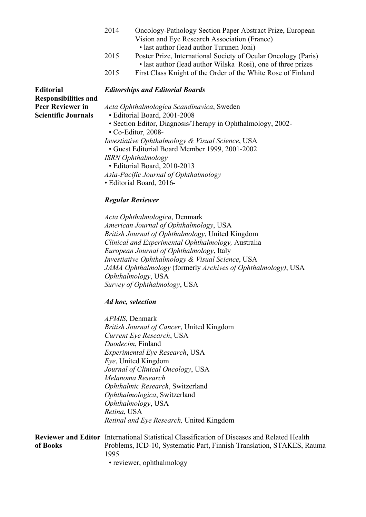- 2014 Oncology-Pathology Section Paper Abstract Prize, European Vision and Eye Research Association (France)
	- last author (lead author Turunen Joni)
- 2015 Poster Prize, International Society of Ocular Oncology (Paris) • last author (lead author Wilska Rosi), one of three prizes
- 2015 First Class Knight of the Order of the White Rose of Finland

**Responsibilities and** 

## **Editorial** *Editorships and Editorial Boards*

**Peer Reviewer in** *Acta Ophthalmologica Scandinavica*, Sweden

- **Scientific Journals** Editorial Board, 2001-2008
	- Section Editor, Diagnosis/Therapy in Ophthalmology, 2002-
	- Co-Editor, 2008-
	- *Investiative Ophthalmology & Visual Science*, USA
		- Guest Editorial Board Member 1999, 2001-2002
	- *ISRN Ophthalmology* 
		- Editorial Board, 2010-2013
	- *Asia-Pacific Journal of Ophthalmology*
	- Editorial Board, 2016-

#### *Regular Reviewer*

 *Acta Ophthalmologica*, Denmark  *American Journal of Ophthalmology*, USA  *British Journal of Ophthalmology*, United Kingdom *Clinical and Experimental Ophthalmology,* Australia *European Journal of Ophthalmology*, Italy  *Investiative Ophthalmology & Visual Science*, USA *JAMA Ophthalmology* (formerly *Archives of Ophthalmology)*, USA *Ophthalmology*, USA *Survey of Ophthalmology*, USA

#### *Ad hoc, selection*

 *APMIS*, Denmark  *British Journal of Cancer*, United Kingdom  *Current Eye Research*, USA  *Duodecim*, Finland  *Experimental Eye Research*, USA  *Eye*, United Kingdom *Journal of Clinical Oncology*, USA *Melanoma Research Ophthalmic Research*, Switzerland  *Ophthalmologica*, Switzerland *Ophthalmology*, USA  *Retina*, USA *Retinal and Eye Research,* United Kingdom

|          | <b>Reviewer and Editor</b> International Statistical Classification of Diseases and Related Health |
|----------|----------------------------------------------------------------------------------------------------|
| of Books | Problems, ICD-10, Systematic Part, Finnish Translation, STAKES, Rauma                              |
|          | 1995                                                                                               |
|          | • reviewer, ophthalmology                                                                          |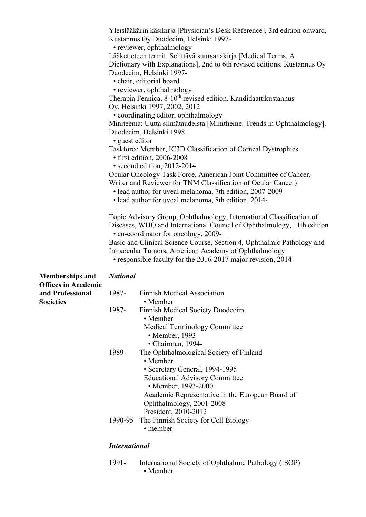|                                                      |                      | Yleislääkärin käsikirja [Physician's Desk Reference], 3rd edition onward,<br>Kustannus Oy Duodecim, Helsinki 1997- |
|------------------------------------------------------|----------------------|--------------------------------------------------------------------------------------------------------------------|
|                                                      |                      | • reviewer, ophthalmology                                                                                          |
|                                                      |                      | Lääketieteen termit. Selittävä suursanakirja [Medical Terms. A                                                     |
|                                                      |                      | Dictionary with Explanations], 2nd to 6th revised editions. Kustannus Oy                                           |
|                                                      |                      | Duodecim, Helsinki 1997-                                                                                           |
|                                                      |                      | · chair, editorial board                                                                                           |
|                                                      |                      | • reviewer, ophthalmology                                                                                          |
|                                                      |                      | Therapia Fennica, 8-10 <sup>th</sup> revised edition. Kandidaattikustannus                                         |
|                                                      |                      | Oy, Helsinki 1997, 2002, 2012<br>• coordinating editor, ophthalmology                                              |
|                                                      |                      | Miniteema: Uutta silmätaudeista [Minitheme: Trends in Ophthalmology].                                              |
|                                                      |                      | Duodecim, Helsinki 1998                                                                                            |
|                                                      | • guest editor       |                                                                                                                    |
|                                                      |                      | Taskforce Member, IC3D Classification of Corneal Dystrophies<br>· first edition, 2006-2008                         |
|                                                      |                      | • second edition, 2012-2014                                                                                        |
|                                                      |                      | Ocular Oncology Task Force, American Joint Committee of Cancer,                                                    |
|                                                      |                      | Writer and Reviewer for TNM Classification of Ocular Cancer)                                                       |
|                                                      |                      | · lead author for uveal melanoma, 7th edition, 2007-2009                                                           |
|                                                      |                      | · lead author for uveal melanoma, 8th edition, 2014-                                                               |
|                                                      |                      | Topic Advisory Group, Ophthalmology, International Classification of                                               |
|                                                      |                      | Diseases, WHO and International Council of Ophthalmology, 11th edition                                             |
|                                                      |                      | • co-coordinator for oncology, 2009-                                                                               |
|                                                      |                      | Basic and Clinical Science Course, Section 4, Ophthalmic Pathology and                                             |
|                                                      |                      | Intraocular Tumors, American Academy of Ophthalmology                                                              |
|                                                      |                      | • responsible faculty for the 2016-2017 major revision, 2014-                                                      |
| <b>Memberships and</b><br><b>Offices in Acedemic</b> | <b>National</b>      |                                                                                                                    |
| and Professional                                     | 1987-                | <b>Finnish Medical Association</b>                                                                                 |
| <b>Societies</b>                                     |                      | • Member                                                                                                           |
|                                                      | 1987-                | Finnish Medical Society Duodecim                                                                                   |
|                                                      |                      | • Member                                                                                                           |
|                                                      |                      | <b>Medical Terminology Committee</b>                                                                               |
|                                                      |                      | $\bullet$ Member, 1993                                                                                             |
|                                                      |                      | · Chairman, 1994-                                                                                                  |
|                                                      | 1989-                | The Ophthalmological Society of Finland                                                                            |
|                                                      |                      | • Member                                                                                                           |
|                                                      |                      | • Secretary General, 1994-1995                                                                                     |
|                                                      |                      | <b>Educational Advisory Committee</b>                                                                              |
|                                                      |                      | • Member, 1993-2000                                                                                                |
|                                                      |                      | Academic Representative in the European Board of                                                                   |
|                                                      |                      | Ophthalmology, 2001-2008                                                                                           |
|                                                      |                      | President, 2010-2012                                                                                               |
|                                                      | 1990-95              | The Finnish Society for Cell Biology<br>• member                                                                   |
|                                                      |                      |                                                                                                                    |
|                                                      | <b>International</b> |                                                                                                                    |
|                                                      |                      |                                                                                                                    |

 1991- International Society of Ophthalmic Pathology (ISOP) • Member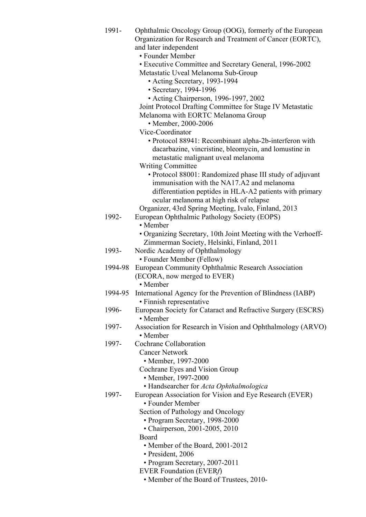| 1991-   | Ophthalmic Oncology Group (OOG), formerly of the European<br>Organization for Research and Treatment of Cancer (EORTC),<br>and later independent<br>• Founder Member |
|---------|----------------------------------------------------------------------------------------------------------------------------------------------------------------------|
|         | • Executive Committee and Secretary General, 1996-2002                                                                                                               |
|         | Metastatic Uveal Melanoma Sub-Group                                                                                                                                  |
|         | • Acting Secretary, 1993-1994                                                                                                                                        |
|         | • Secretary, 1994-1996                                                                                                                                               |
|         | • Acting Chairperson, 1996-1997, 2002                                                                                                                                |
|         | Joint Protocol Drafting Committee for Stage IV Metastatic                                                                                                            |
|         | Melanoma with EORTC Melanoma Group                                                                                                                                   |
|         | • Member, 2000-2006                                                                                                                                                  |
|         | Vice-Coordinator                                                                                                                                                     |
|         | • Protocol 88941: Recombinant alpha-2b-interferon with                                                                                                               |
|         | dacarbazine, vincristine, bleomycin, and lomustine in                                                                                                                |
|         | metastatic malignant uveal melanoma<br><b>Writing Committee</b>                                                                                                      |
|         | • Protocol 88001: Randomized phase III study of adjuvant                                                                                                             |
|         | immunisation with the NA17.A2 and melanoma                                                                                                                           |
|         | differentiation peptides in HLA-A2 patients with primary                                                                                                             |
|         | ocular melanoma at high risk of relapse                                                                                                                              |
|         | Organizer, 43rd Spring Meeting, Ivalo, Finland, 2013                                                                                                                 |
| 1992-   | European Ophthalmic Pathology Society (EOPS)                                                                                                                         |
|         | • Member                                                                                                                                                             |
|         | • Organizing Secretary, 10th Joint Meeting with the Verhoeff-                                                                                                        |
| 1993-   | Zimmerman Society, Helsinki, Finland, 2011                                                                                                                           |
|         | Nordic Academy of Ophthalmology<br>• Founder Member (Fellow)                                                                                                         |
| 1994-98 | European Community Ophthalmic Research Association                                                                                                                   |
|         | (ECORA, now merged to EVER)                                                                                                                                          |
|         | • Member                                                                                                                                                             |
|         | 1994-95 International Agency for the Prevention of Blindness (IABP)                                                                                                  |
|         | • Finnish representative                                                                                                                                             |
| 1996-   | European Society for Cataract and Refractive Surgery (ESCRS)<br>• Member                                                                                             |
| 1997-   | Association for Research in Vision and Ophthalmology (ARVO)<br>• Member                                                                                              |
| 1997-   | Cochrane Collaboration                                                                                                                                               |
|         | <b>Cancer Network</b>                                                                                                                                                |
|         | • Member, 1997-2000                                                                                                                                                  |
|         | Cochrane Eyes and Vision Group<br>• Member, 1997-2000                                                                                                                |
|         | • Handsearcher for Acta Ophthalmologica                                                                                                                              |
| 1997-   | European Association for Vision and Eye Research (EVER)                                                                                                              |
|         | • Founder Member                                                                                                                                                     |
|         | Section of Pathology and Oncology                                                                                                                                    |
|         | • Program Secretary, 1998-2000                                                                                                                                       |
|         | • Chairperson, 2001-2005, 2010                                                                                                                                       |
|         | Board                                                                                                                                                                |
|         | • Member of the Board, 2001-2012                                                                                                                                     |
|         | · President, 2006                                                                                                                                                    |
|         | • Program Secretary, 2007-2011<br><b>EVER Foundation (EVERf)</b>                                                                                                     |
|         | • Member of the Board of Trustees, 2010-                                                                                                                             |
|         |                                                                                                                                                                      |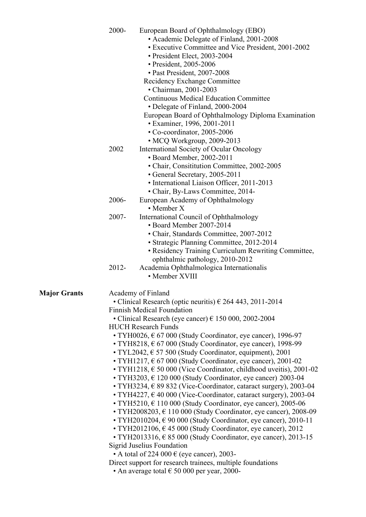|                     | 2000- | European Board of Ophthalmology (EBO)<br>• Academic Delegate of Finland, 2001-2008<br>• Executive Committee and Vice President, 2001-2002<br>• President Elect, 2003-2004<br>• President, 2005-2006<br>• Past President, 2007-2008<br>Recidency Exchange Committee<br>• Chairman, 2001-2003<br><b>Continuous Medical Education Committee</b><br>• Delegate of Finland, 2000-2004<br>European Board of Ophthalmology Diploma Examination<br>• Examiner, 1996, 2001-2011<br>• Co-coordinator, 2005-2006                                                                                                                                                                                                                                                                                                                                                                                                                                                                                                                                                                                                                                                                                                                                                                                                                                                                                                                                                       |
|---------------------|-------|-------------------------------------------------------------------------------------------------------------------------------------------------------------------------------------------------------------------------------------------------------------------------------------------------------------------------------------------------------------------------------------------------------------------------------------------------------------------------------------------------------------------------------------------------------------------------------------------------------------------------------------------------------------------------------------------------------------------------------------------------------------------------------------------------------------------------------------------------------------------------------------------------------------------------------------------------------------------------------------------------------------------------------------------------------------------------------------------------------------------------------------------------------------------------------------------------------------------------------------------------------------------------------------------------------------------------------------------------------------------------------------------------------------------------------------------------------------|
|                     | 2002  | · MCQ Workgroup, 2009-2013<br>International Society of Ocular Oncology<br>· Board Member, 2002-2011<br>• Chair, Consititution Committee, 2002-2005<br>• General Secretary, 2005-2011<br>• International Liaison Officer, 2011-2013                                                                                                                                                                                                                                                                                                                                                                                                                                                                                                                                                                                                                                                                                                                                                                                                                                                                                                                                                                                                                                                                                                                                                                                                                          |
|                     | 2006- | • Chair, By-Laws Committee, 2014-<br>European Academy of Ophthalmology                                                                                                                                                                                                                                                                                                                                                                                                                                                                                                                                                                                                                                                                                                                                                                                                                                                                                                                                                                                                                                                                                                                                                                                                                                                                                                                                                                                      |
|                     | 2007- | $\bullet$ Member X<br>International Council of Ophthalmology<br>• Board Member 2007-2014<br>• Chair, Standards Committee, 2007-2012<br>· Strategic Planning Committee, 2012-2014<br>• Residency Training Curriculum Rewriting Committee,                                                                                                                                                                                                                                                                                                                                                                                                                                                                                                                                                                                                                                                                                                                                                                                                                                                                                                                                                                                                                                                                                                                                                                                                                    |
|                     | 2012- | ophthalmic pathology, 2010-2012<br>Academia Ophthalmologica Internationalis<br>• Member XVIII                                                                                                                                                                                                                                                                                                                                                                                                                                                                                                                                                                                                                                                                                                                                                                                                                                                                                                                                                                                                                                                                                                                                                                                                                                                                                                                                                               |
| <b>Major Grants</b> |       | Academy of Finland<br>• Clinical Research (optic neuritis) $\epsilon$ 264 443, 2011-2014<br><b>Finnish Medical Foundation</b><br>• Clinical Research (eye cancer) $\epsilon$ 150 000, 2002-2004<br><b>HUCH Research Funds</b><br>• TYH0026, $\epsilon$ 67 000 (Study Coordinator, eye cancer), 1996-97<br>$\cdot$ TYH8218, $\epsilon$ 67 000 (Study Coordinator, eye cancer), 1998-99<br>$\cdot$ TYL2042, $\in$ 57 500 (Study Coordinator, equipment), 2001<br>• TYH1217, $\epsilon$ 67 000 (Study Coordinator, eye cancer), 2001-02<br>• TYH1218, $\epsilon$ 50 000 (Vice Coordinator, childhood uveitis), 2001-02<br>$\cdot$ TYH3203, $\epsilon$ 120 000 (Study Coordinator, eye cancer) 2003-04<br>• TYH3234, € 89 832 (Vice-Coordinator, cataract surgery), 2003-04<br>$\bullet$ TYH4227, $\epsilon$ 40 000 (Vice-Coordinator, cataract surgery), 2003-04<br>$\cdot$ TYH5210, $\in$ 110 000 (Study Coordinator, eye cancer), 2005-06<br>$\cdot$ TYH2008203, $\in$ 110 000 (Study Coordinator, eye cancer), 2008-09<br>$\cdot$ TYH2010204, $\in$ 90 000 (Study Coordinator, eye cancer), 2010-11<br>• TYH2012106, $\in$ 45 000 (Study Coordinator, eye cancer), 2012<br>• TYH2013316, $\in$ 85 000 (Study Coordinator, eye cancer), 2013-15<br><b>Sigrid Juselius Foundation</b><br>• A total of 224 000 $\in$ (eye cancer), 2003-<br>Direct support for research trainees, multiple foundations<br>• An average total $\epsilon$ 50 000 per year, 2000- |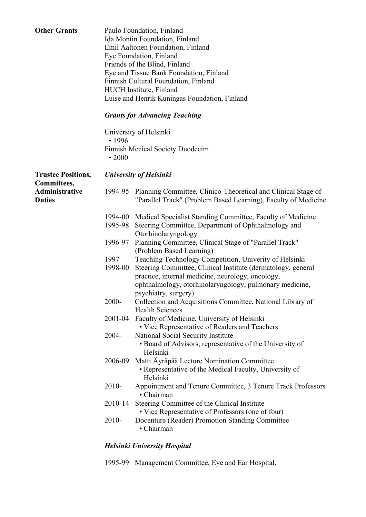| <b>Other Grants</b>                      |                 | Paulo Foundation, Finland<br>Ida Montin Foundation, Finland<br>Emil Aaltonen Foundation, Finland<br>Eye Foundation, Finland<br>Friends of the Blind, Finland<br>Eye and Tissue Bank Foundation, Finland<br>Finnish Cultural Foundation, Finland<br>HUCH Institute, Finland<br>Luise and Henrik Kuningas Foundation, Finland |
|------------------------------------------|-----------------|-----------------------------------------------------------------------------------------------------------------------------------------------------------------------------------------------------------------------------------------------------------------------------------------------------------------------------|
|                                          |                 | <b>Grants for Advancing Teaching</b>                                                                                                                                                                                                                                                                                        |
|                                          | • 1996          | University of Helsinki                                                                                                                                                                                                                                                                                                      |
|                                          | $\cdot 2000$    | Finnish Mecical Society Duodecim                                                                                                                                                                                                                                                                                            |
| <b>Trustee Positions,</b><br>Committees, |                 | <b>University of Helsinki</b>                                                                                                                                                                                                                                                                                               |
| Administrative<br><b>Duties</b>          |                 | 1994-95 Planning Committee, Clinico-Theoretical and Clinical Stage of<br>"Parallel Track" (Problem Based Learning), Faculty of Medicine                                                                                                                                                                                     |
|                                          | 1995-98         | 1994-00 Medical Specialist Standing Committee, Faculty of Medicine<br>Steering Committee, Department of Ophthalmology and<br>Otorhinolaryngology                                                                                                                                                                            |
|                                          | 1996-97         | Planning Committee, Clinical Stage of "Parallel Track"<br>(Problem Based Learning)                                                                                                                                                                                                                                          |
|                                          | 1997<br>1998-00 | Teaching Technology Competition, Univerity of Helsinki<br>Steering Committee, Clinical Institute (dermatology, general<br>practice, internal medicine, neurology, oncology,<br>ophthalmology, otorhinolaryngology, pulmonary medicine,<br>psychiatry, surgery)                                                              |
|                                          | 2000-           | Collection and Acquisitions Committee, National Library of<br><b>Health Sciences</b>                                                                                                                                                                                                                                        |
|                                          | 2001-04         | Faculty of Medicine, University of Helsinki<br>• Vice Representative of Readers and Teachers                                                                                                                                                                                                                                |
|                                          | 2004-           | National Social Security Institute<br>• Board of Advisors, representative of the University of<br>Helsinki                                                                                                                                                                                                                  |
|                                          | 2006-09         | Matti Äyräpää Lecture Nomination Committee<br>• Representative of the Medical Faculty, University of<br>Helsinki                                                                                                                                                                                                            |
|                                          | 2010-           | Appointment and Tenure Committee, 3 Tenure Track Professors<br>· Chairman                                                                                                                                                                                                                                                   |
|                                          | 2010-14         | Steering Committee of the Clinical Institute<br>• Vice Representative of Professors (one of four)                                                                                                                                                                                                                           |
|                                          | 2010-           | Docenture (Reader) Promotion Standing Committee<br>• Chairman                                                                                                                                                                                                                                                               |

#### *Helsinki University Hospital*

1995-99 Management Committee, Eye and Ear Hospital,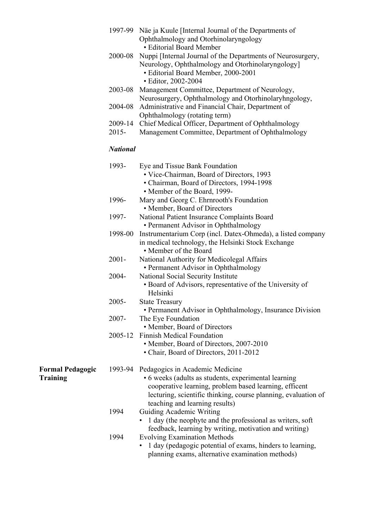|                                     | 1997-99             | Näe ja Kuule [Internal Journal of the Departments of                                                                                                                                                                                                          |
|-------------------------------------|---------------------|---------------------------------------------------------------------------------------------------------------------------------------------------------------------------------------------------------------------------------------------------------------|
|                                     |                     | Ophthalmology and Otorhinolaryngology<br>· Editorial Board Member                                                                                                                                                                                             |
|                                     | 2000-08             | Nuppi [Internal Journal of the Departments of Neurosurgery,<br>Neurology, Ophthalmology and Otorhinolaryngology]<br>• Editorial Board Member, 2000-2001<br>· Editor, 2002-2004                                                                                |
|                                     | 2003-08             | Management Committee, Department of Neurology,<br>Neurosurgery, Ophthalmology and Otorhinolaryhngology,                                                                                                                                                       |
|                                     | 2004-08             | Administrative and Financial Chair, Department of                                                                                                                                                                                                             |
|                                     | 2009-14<br>$2015 -$ | Ophthalmology (rotating term)<br>Chief Medical Officer, Department of Ophthalmology<br>Management Committee, Department of Ophthalmology                                                                                                                      |
|                                     | <b>National</b>     |                                                                                                                                                                                                                                                               |
|                                     | 1993-               | Eye and Tissue Bank Foundation<br>• Vice-Chairman, Board of Directors, 1993<br>• Chairman, Board of Directors, 1994-1998<br>• Member of the Board, 1999-                                                                                                      |
|                                     | 1996-               | Mary and Georg C. Ehrnrooth's Foundation<br>• Member, Board of Directors                                                                                                                                                                                      |
|                                     | 1997-               | National Patient Insurance Complaints Board<br>• Permanent Advisor in Ophthalmology                                                                                                                                                                           |
|                                     | 1998-00             | Instrumentarium Corp (incl. Datex-Ohmeda), a listed company<br>in medical technology, the Helsinki Stock Exchange<br>• Member of the Board                                                                                                                    |
|                                     | $2001 -$            | National Authority for Medicolegal Affairs<br>• Permanent Advisor in Ophthalmology                                                                                                                                                                            |
|                                     | 2004-               | National Social Security Institute<br>• Board of Advisors, representative of the University of<br>Helsinki                                                                                                                                                    |
|                                     | $2005 -$            | <b>State Treasury</b><br>• Permanent Advisor in Ophthalmology, Insurance Division                                                                                                                                                                             |
|                                     | 2007-               | The Eye Foundation<br>• Member, Board of Directors                                                                                                                                                                                                            |
|                                     | 2005-12             | <b>Finnish Medical Foundation</b>                                                                                                                                                                                                                             |
|                                     |                     | • Member, Board of Directors, 2007-2010<br>• Chair, Board of Directors, 2011-2012                                                                                                                                                                             |
| <b>Formal Pedagogic</b><br>Training |                     | 1993-94 Pedagogics in Academic Medicine<br>• 6 weeks (adults as students, experimental learning<br>cooperative learning, problem based learning, efficent<br>lecturing, scientific thinking, course planning, evaluation of<br>teaching and learning results) |
|                                     | 1994                | Guiding Academic Writing<br>1 day (the neophyte and the professional as writers, soft                                                                                                                                                                         |

feedback, learning by writing, motivation and writing) 1994 Evolving Examination Methods • 1 day (pedagogic potential of exams, hinders to learning, planning exams, alternative examination methods)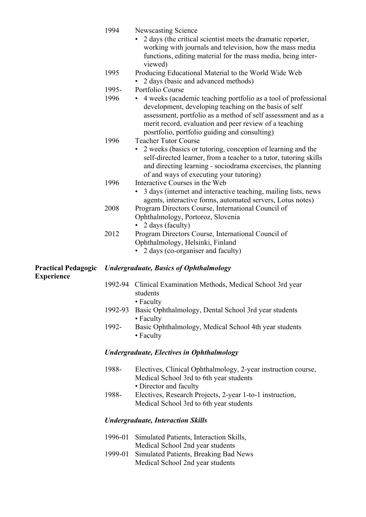|                            | 1994          | <b>Newscasting Science</b><br>2 days (the critical scientist meets the dramatic reporter,<br>working with journals and television, how the mass media<br>functions, editing material for the mass media, being inter-<br>viewed)                                                                                            |
|----------------------------|---------------|-----------------------------------------------------------------------------------------------------------------------------------------------------------------------------------------------------------------------------------------------------------------------------------------------------------------------------|
|                            | 1995          | Producing Educational Material to the World Wide Web<br>2 days (basic and advanced methods)                                                                                                                                                                                                                                 |
|                            | 1995-<br>1996 | Portfolio Course<br>4 weeks (academic teaching portfolio as a tool of professional<br>development, developing teaching on the basis of self<br>assessment, portfolio as a method of self assessment and as a<br>merit record, evaluation and peer review of a teaching                                                      |
|                            | 1996          | posrtfolio, portfolio guiding and consulting)<br><b>Teacher Tutor Course</b><br>2 weeks (basics or tutoring, conception of learning and the<br>self-directed learner, from a teacher to a tutor, tutoring skills<br>and directing learning - sociodrama excercises, the planning<br>of and ways of executing your tutoring) |
|                            | 1996          | Interactive Courses in the Web<br>3 days (internet and interactive teaching, mailing lists, news<br>agents, interactive forms, automated servers, Lotus notes)                                                                                                                                                              |
|                            | 2008          | Program Directors Course, International Council of<br>Ophthalmology, Portoroz, Slovenia<br>2 days (faculty)                                                                                                                                                                                                                 |
|                            | 2012          | Program Directors Course, International Council of<br>Ophthalmology, Helsinki, Finland<br>• 2 days (co-organiser and faculty)                                                                                                                                                                                               |
| <b>Practical Pedagogic</b> |               | <b>Undergraduate, Basics of Ophthalmology</b>                                                                                                                                                                                                                                                                               |
| <b>Experience</b>          |               | 1992-94 Clinical Examination Methods, Medical School 3rd year<br>students<br>• Faculty                                                                                                                                                                                                                                      |
|                            | 1992-93       | Basic Ophthalmology, Dental School 3rd year students<br>• Faculty                                                                                                                                                                                                                                                           |
|                            | 1992-         | Basic Ophthalmology, Medical School 4th year students<br>• Faculty                                                                                                                                                                                                                                                          |
|                            |               | <b>Undergraduate, Electives in Ophthalmology</b>                                                                                                                                                                                                                                                                            |
|                            | 1988-         | Electives, Clinical Ophthalmology, 2-year instruction course,<br>Medical School 3rd to 6th year students<br>• Director and faculty                                                                                                                                                                                          |
|                            | 1988-         | Electives, Research Projects, 2-year 1-to-1 instruction,<br>Medical School 3rd to 6th year students                                                                                                                                                                                                                         |
|                            |               | <b>Undergraduate, Interaction Skills</b>                                                                                                                                                                                                                                                                                    |
|                            | 1996-01       | Simulated Patients, Interaction Skills,<br>Medical School 2nd year students                                                                                                                                                                                                                                                 |
|                            | 1999-01       | Simulated Patients, Breaking Bad News<br>Medical School 2nd year students                                                                                                                                                                                                                                                   |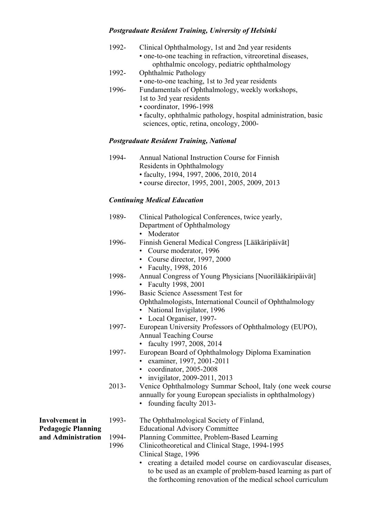# *Postgraduate Resident Training, University of Helsinki*

| 1992- | Clinical Ophthalmology, 1st and 2nd year residents              |
|-------|-----------------------------------------------------------------|
|       | • one-to-one teaching in refraction, vitreoretinal diseases,    |
|       | ophthalmic oncology, pediatric ophthalmology                    |
| 1992- | <b>Ophthalmic Pathology</b>                                     |
|       | • one-to-one teaching, 1st to 3rd year residents                |
| 1996- | Fundamentals of Ophthalmology, weekly workshops,                |
|       | 1st to 3rd year residents                                       |
|       | • coordinator, 1996-1998                                        |
|       | · faculty, ophthalmic pathology, hospital administration, basic |
|       | sciences, optic, retina, oncology, 2000-                        |

# *Postgraduate Resident Training, National*

| • course director, 1995, 2001, 2005, 2009, 2013 |
|-------------------------------------------------|
|                                                 |

# *Continuing Medical Education*

|                                                 | 1989-    | Clinical Pathological Conferences, twice yearly,<br>Department of Ophthalmology<br>Moderator                                                      |
|-------------------------------------------------|----------|---------------------------------------------------------------------------------------------------------------------------------------------------|
|                                                 | 1996-    | Finnish General Medical Congress [Lääkäripäivät]<br>• Course moderator, 1996                                                                      |
|                                                 |          | • Course director, 1997, 2000<br>Faculty, 1998, 2016                                                                                              |
|                                                 | 1998-    | Annual Congress of Young Physicians [Nuorilääkäripäivät]                                                                                          |
|                                                 |          | • Faculty 1998, 2001                                                                                                                              |
|                                                 | 1996-    | Basic Science Assessment Test for                                                                                                                 |
|                                                 |          | Ophthalmologists, International Council of Ophthalmology<br>• National Invigilator, 1996                                                          |
|                                                 | 1997-    | • Local Organiser, 1997-<br>European University Professors of Ophthalmology (EUPO),                                                               |
|                                                 |          | <b>Annual Teaching Course</b>                                                                                                                     |
|                                                 |          | • faculty 1997, 2008, 2014                                                                                                                        |
|                                                 | 1997-    | European Board of Ophthalmology Diploma Examination<br>· examiner, 1997, 2001-2011                                                                |
|                                                 |          | • coordinator, 2005-2008                                                                                                                          |
|                                                 |          | · invigilator, 2009-2011, 2013                                                                                                                    |
|                                                 | $2013 -$ | Venice Ophthalmology Summar School, Italy (one week course<br>annually for young European specialists in ophthalmology)<br>founding faculty 2013- |
| <b>Involvement</b> in                           | 1993-    | The Ophthalmological Society of Finland,                                                                                                          |
| <b>Pedagogic Planning</b><br>and Administration |          | <b>Educational Advisory Committee</b>                                                                                                             |
|                                                 | 1994-    | Planning Committee, Problem-Based Learning                                                                                                        |
|                                                 | 1996     | Clinicotheoretical and Clinical Stage, 1994-1995                                                                                                  |
|                                                 |          | Clinical Stage, 1996                                                                                                                              |
|                                                 |          | creating a detailed model course on cardiovascular diseases,<br>to be used as an example of problem-based learning as part of                     |

the forthcoming renovation of the medical school curriculum